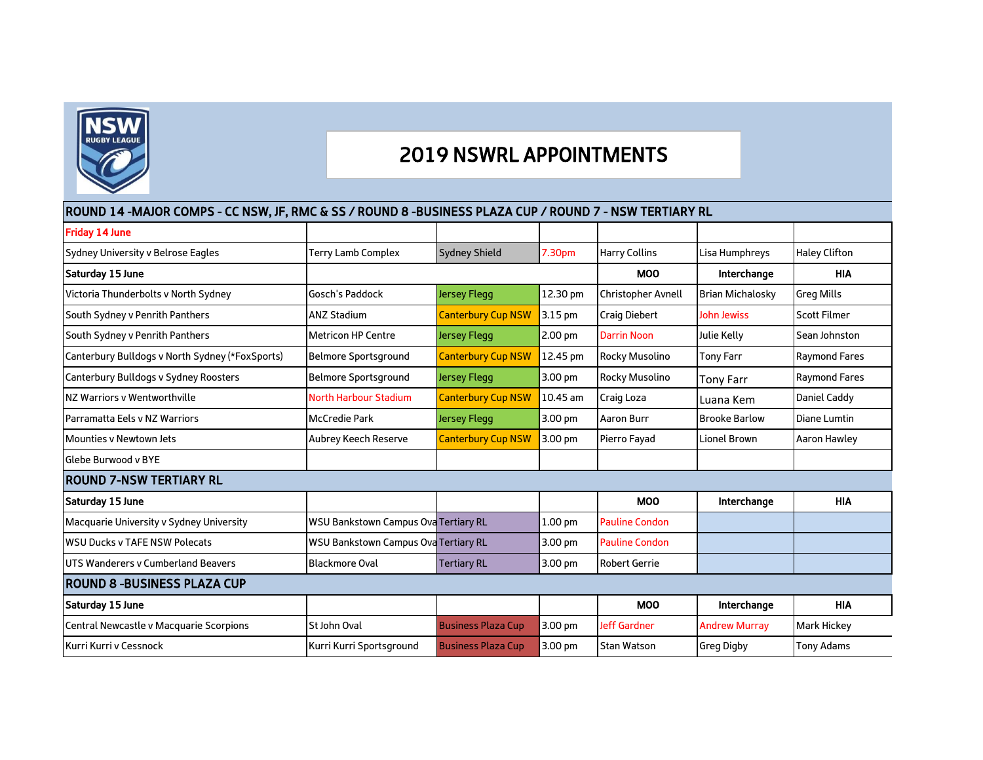

## 2019 NSWRL APPOINTMENTS

## ROUND 14 -MAJOR COMPS - CC NSW, JF, RMC & SS / ROUND 8 -BUSINESS PLAZA CUP / ROUND 7 - NSW TERTIARY RL

| <b>Friday 14 June</b>                           |                                             |                           |                    |                       |                         |                      |  |  |  |  |
|-------------------------------------------------|---------------------------------------------|---------------------------|--------------------|-----------------------|-------------------------|----------------------|--|--|--|--|
| Sydney University v Belrose Eagles              | <b>Terry Lamb Complex</b>                   | <b>Sydney Shield</b>      | 7.30pm             | <b>Harry Collins</b>  | Lisa Humphreys          | <b>Haley Clifton</b> |  |  |  |  |
| Saturday 15 June                                |                                             |                           |                    | <b>MOO</b>            | Interchange             | <b>HIA</b>           |  |  |  |  |
| Victoria Thunderbolts v North Sydney            | Gosch's Paddock                             | Jersey Flegg              | 12.30 pm           | Christopher Avnell    | <b>Brian Michalosky</b> | <b>Greg Mills</b>    |  |  |  |  |
| South Sydney v Penrith Panthers                 | <b>ANZ Stadium</b>                          | <b>Canterbury Cup NSW</b> | 3.15 pm            | <b>Craig Diebert</b>  | <b>John Jewiss</b>      | <b>Scott Filmer</b>  |  |  |  |  |
| South Sydney v Penrith Panthers                 | <b>Metricon HP Centre</b>                   | Jersey Flegg              | 2.00 pm            | <b>Darrin Noon</b>    | Julie Kelly             | Sean Johnston        |  |  |  |  |
| Canterbury Bulldogs v North Sydney (*FoxSports) | <b>Belmore Sportsground</b>                 | <b>Canterbury Cup NSW</b> | 12.45 pm           | Rocky Musolino        | <b>Tony Farr</b>        | <b>Raymond Fares</b> |  |  |  |  |
| Canterbury Bulldogs v Sydney Roosters           | <b>Belmore Sportsground</b>                 | Jersey Flegg              | 3.00 pm            | Rocky Musolino        | Tony Farr               | <b>Raymond Fares</b> |  |  |  |  |
| NZ Warriors v Wentworthville                    | <b>North Harbour Stadium</b>                | <b>Canterbury Cup NSW</b> | 10.45 am           | Craig Loza            | Luana Kem               | Daniel Caddy         |  |  |  |  |
| Parramatta Eels v NZ Warriors                   | <b>McCredie Park</b>                        | Jersey Flegg              | 3.00 pm            | <b>Aaron Burr</b>     | <b>Brooke Barlow</b>    | Diane Lumtin         |  |  |  |  |
| Mounties y Newtown Jets                         | Aubrey Keech Reserve                        | <b>Canterbury Cup NSW</b> | 3.00 pm            | Pierro Fayad          | Lionel Brown            | <b>Aaron Hawley</b>  |  |  |  |  |
| Glebe Burwood v BYE                             |                                             |                           |                    |                       |                         |                      |  |  |  |  |
| IROUND 7-NSW TERTIARY RL                        |                                             |                           |                    |                       |                         |                      |  |  |  |  |
| Saturday 15 June                                |                                             |                           |                    | <b>MOO</b>            | Interchange             | <b>HIA</b>           |  |  |  |  |
| Macquarie University v Sydney University        | <b>WSU Bankstown Campus Ova Tertiary RL</b> |                           | 1.00 <sub>pm</sub> | <b>Pauline Condon</b> |                         |                      |  |  |  |  |
| <b>WSU Ducks v TAFE NSW Polecats</b>            | WSU Bankstown Campus Ova Tertiary RL        |                           | 3.00 pm            | <b>Pauline Condon</b> |                         |                      |  |  |  |  |
| UTS Wanderers y Cumberland Beavers              | <b>Blackmore Oval</b>                       | <b>Tertiary RL</b>        | 3.00 pm            | <b>Robert Gerrie</b>  |                         |                      |  |  |  |  |
| IROUND 8 -BUSINESS PLAZA CUP                    |                                             |                           |                    |                       |                         |                      |  |  |  |  |
| Saturday 15 June                                |                                             |                           |                    | <b>MOO</b>            | Interchange             | <b>HIA</b>           |  |  |  |  |
| Central Newcastle v Macquarie Scorpions         | St John Oval                                | <b>Business Plaza Cup</b> | 3.00 pm            | <b>Jeff Gardner</b>   | <b>Andrew Murray</b>    | Mark Hickey          |  |  |  |  |
| Kurri Kurri v Cessnock                          | Kurri Kurri Sportsground                    | <b>Business Plaza Cup</b> | 3.00 pm            | <b>Stan Watson</b>    | <b>Greg Digby</b>       | <b>Tony Adams</b>    |  |  |  |  |